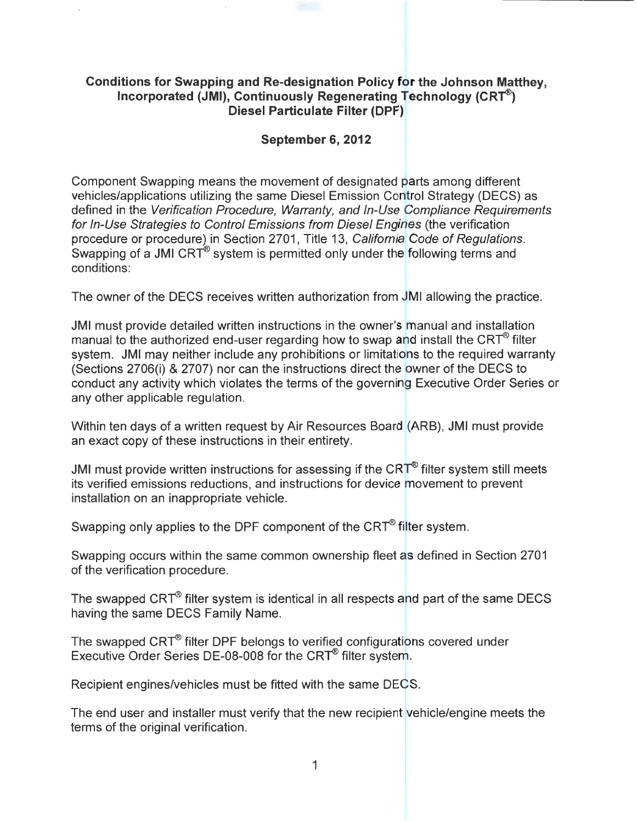## **Conditions for Swapping and Re-designation Policy for the Johnson Matthey, Incorporated (JMI), Continuously Regenerating Technology (CRT<sup>®</sup>) Diesel Particulate Filter (DPF)**

## **September 6, 2012**

Component Swapping means the movement of designated parts among different vehicles/applications utilizing the same Diesel Emission Control Strategy (DECS) as defined in the Verification Procedure, Warranty, and In-Use Compliance Requirements for In-Use Strategies to Control Emissions from Diesel Engines (the verification procedure or procedure) in Section 2701, Title 13, California Code of Regulations. Swapping of a JMI CRT<sup>®</sup> system is permitted only under the following terms and conditions:

The owner of the DECS receives written authorization from JMI allowing the practice.

JMI must provide detailed written instructions in the owner's manual and installation manual to the authorized end-user regarding how to swap and install the CRT $^{\circledR}$  filter system. JMI may neither include any prohibitions or limitations to the required warranty (Sections 2706(i) & 2707) nor can the instructions direct the owner of the DECS to conduct any activity which violates the terms of the governing Executive Order Series or any other applicable regulation.

Within ten days of a written request by Air Resources Board (ARB), JMI must provide an exact copy of these instructions in their entirety.

JMI must provide written instructions for assessing if the  $CRT^{\circledast}$  filter system still meets its verified emissions reductions, and instructions for device movement to prevent installation on an inappropriate vehicle.

Swapping only applies to the DPF component of the CRT<sup>®</sup> filter system.

Swapping occurs within the same common ownership fleet as defined in Section 2701 of the verification procedure.

The swapped CRT<sup>®</sup> filter system is identical in all respects and part of the same DECS having the same DECS Family Name.

The swapped CRT<sup>®</sup> filter DPF belongs to verified configurations covered under Executive Order Series DE-08-008 for the CRT<sup>®</sup> filter system.

Recipient engines/vehicles must be fitted with the same DECS.

The end user and installer must verify that the new recipient vehicle/engine meets the terms of the original verification.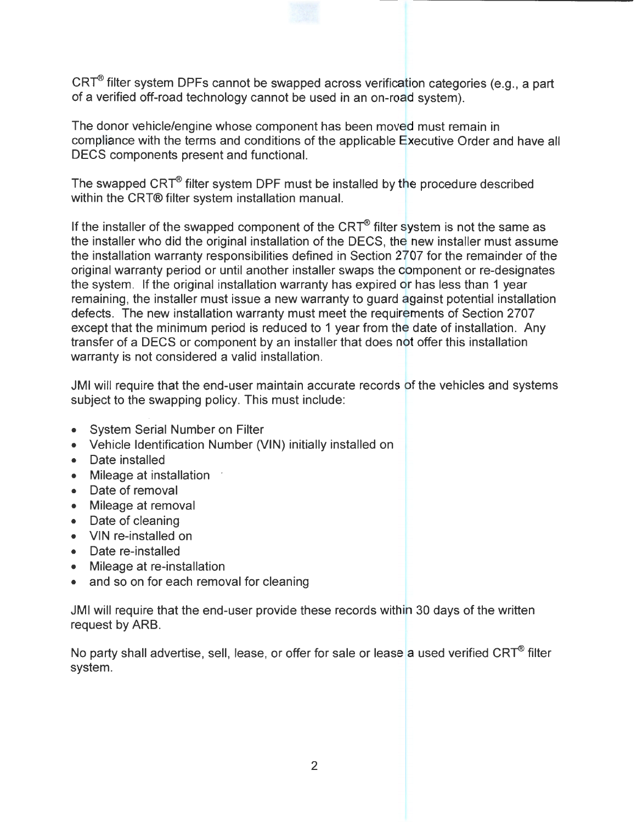CRT<sup>®</sup> filter system DPFs cannot be swapped across verification categories (e.g., a part of a verified off-road technology cannot be used in an on-road system).

The donor vehicle/engine whose component has been moved must remain in compliance with the terms and conditions of the applicable Executive Order and have all DECS components present and functional.

The swapped  $CRT^{\circledast}$  filter system DPF must be installed by the procedure described within the CRT® filter system installation manual.

If the installer of the swapped component of the CRT<sup>®</sup> filter system is not the same as the installer who did the original installation of the DECS, the new installer must assume the installation warranty responsibilities defined in Section 2707 for the remainder of the original warranty period or until another installer swaps the component or re-designates the system. If the original installation warranty has expired or has less than 1 year remaining, the installer must issue a new warranty to guard against potential installation defects. The new installation warranty must meet the requirements of Section 2707 except that the minimum period is reduced to 1 year from the date of installation. Any transfer of a DECS or component by an installer that does not offer this installation warranty is not considered a valid installation.

JMI will require that the end-user maintain accurate records of the vehicles and systems subject to the swapping policy. This must include:

- System Serial Number on Filter
- Vehicle Identification Number (VIN) initially installed on
- Date installed
- Mileage at installation
- Date of removal
- Mileage at removal
- Date of cleaning
- VIN re-installed on
- Date re-installed
- Mileage at re-installation
- and so on for each removal for cleaning

JMI will require that the end-user provide these records within 30 days of the written request by ARB.

No party shall advertise, sell, lease, or offer for sale or lease a used verified  $CRT^{\circledast}$  filter system.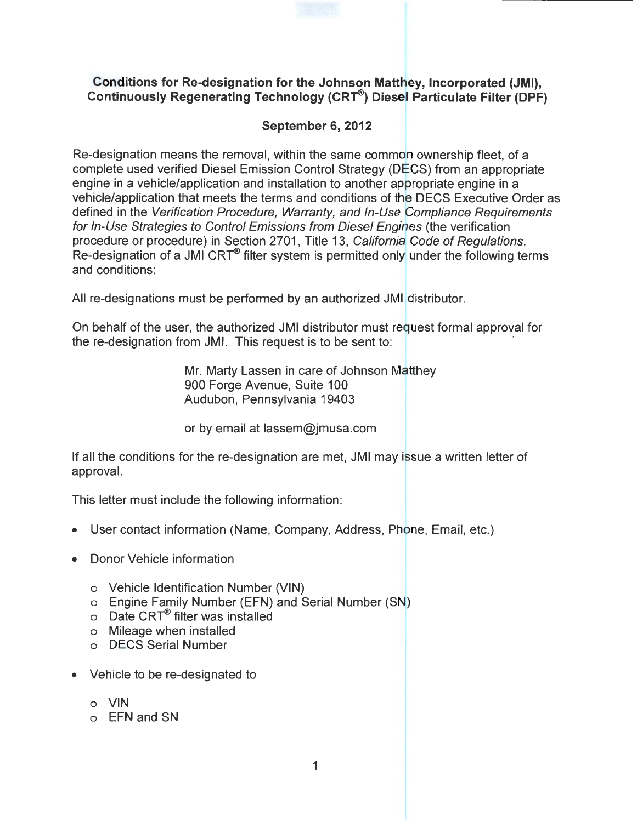## **Conditions for Re-designation for the Johnson Matthey, Incorporated (JMI), Continuously Regenerating Technology (CRT®) Diesel Particulate Filter (DPF)**

## **September 6, 2012**

Re-designation means the removal, within the same common ownership fleet, of a complete used verified Diesel Emission Control Strategy (DECS) from an appropriate engine in a vehicle/application and installation to another appropriate engine in a vehicle/application that meets the terms and conditions of the DECS Executive Order as defined in the Verification Procedure, Warranty, and In-Use Compliance Requirements for In-Use Strategies to Control Emissions from Diesel Engines (the verification procedure or procedure) in Section 2701, Title 13, California Code of Regulations.  $R$ e-designation of a JMI CRT<sup>®</sup> filter system is permitted only under the following terms and conditions:

All re-designations must be performed by an authorized JMI distributor.

On behalf of the user, the authorized JMI distributor must request formal approval for the re-designation from JMI. This request is to be sent to:

> Mr. Marty Lassen in care of Johnson Matthey 900 Forge Avenue, Suite 100 Audubon, Pennsylvania 19403

or by email at lassem@jmusa.com

If all the conditions for the re-designation are met, JMI may issue a written letter of approval.

This letter must include the following information:

- User contact information (Name, Company, Address, Phone, Email, etc.)
- Donor Vehicle information
	- o Vehicle Identification Number (VIN)
	- o Engine Family Number (EFN) and Serial Number (SN)
	- $\circ$  Date CRT® filter was installed
	- o Mileage when installed
	- o DECS Serial Number
- Vehicle to be re-designated to
	- o VIN
	- o EFN and SN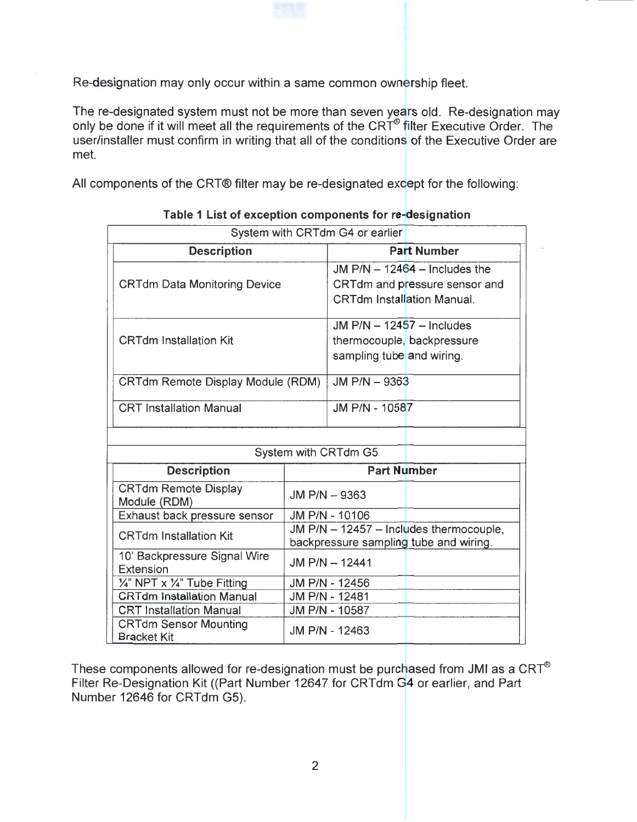Re-designation may only occur within a same common ownership fleet.

The re-designated system must not be more than seven years old. Re-designation may only be done if it will meet all the requirements of the CRT® filter Executive Order. The user/installer must confirm in writing that all of the conditions of the Executive Order are met.

All components of the CRT® filter may be re-designated except for the following:

| System with CRTdm G4 or earlier                    |                                         |                                   |                                 |
|----------------------------------------------------|-----------------------------------------|-----------------------------------|---------------------------------|
| <b>Description</b>                                 |                                         | <b>Part Number</b>                |                                 |
| <b>CRTdm Data Monitoring Device</b>                |                                         |                                   | JM $P/N - 12464 -$ Includes the |
|                                                    |                                         |                                   | CRTdm and pressure sensor and   |
|                                                    |                                         | <b>CRTdm Installation Manual.</b> |                                 |
| <b>CRTdm Installation Kit</b>                      |                                         | JM $P/N - 12457 -$ Includes       |                                 |
|                                                    |                                         | thermocouple, backpressure        |                                 |
|                                                    |                                         | sampling tube and wiring.         |                                 |
|                                                    |                                         |                                   |                                 |
| <b>CRTdm Remote Display Module (RDM)</b>           |                                         | JM P/N - 9363                     |                                 |
| <b>CRT</b> Installation Manual                     |                                         | JM P/N - 10587                    |                                 |
|                                                    |                                         |                                   |                                 |
| System with CRTdm G5                               |                                         |                                   |                                 |
| <b>Description</b>                                 | <b>Part Number</b>                      |                                   |                                 |
| <b>CRTdm Remote Display</b><br>Module (RDM)        | JM P/N - 9363                           |                                   |                                 |
| Exhaust back pressure sensor                       | JM P/N - 10106                          |                                   |                                 |
| <b>CRTdm Installation Kit</b>                      | JM P/N - 12457 - Includes thermocouple, |                                   |                                 |
|                                                    | backpressure sampling tube and wiring.  |                                   |                                 |
| 10' Backpressure Signal Wire                       | JM P/N - 12441                          |                                   |                                 |
| Extension                                          |                                         |                                   |                                 |
| 1/4" NPT x 1/4" Tube Fitting                       | JM P/N - 12456                          |                                   |                                 |
| <b>CRTdm Installation Manual</b>                   | JM P/N - 12481                          |                                   |                                 |
| <b>CRT Installation Manual</b>                     | JM P/N - 10587                          |                                   |                                 |
| <b>CRTdm Sensor Mounting</b><br><b>Bracket Kit</b> | JM P/N - 12463                          |                                   |                                 |

**Table 1 List of exception components for re-designation** 

These components allowed for re-designation must be purchased from JMI as a CRT $^{\circledR}$ Filter Re-Designation Kit ((Part Number 12647 for CRTdm G4 or earlier, and Part Number 12646 for CRTdm G5).